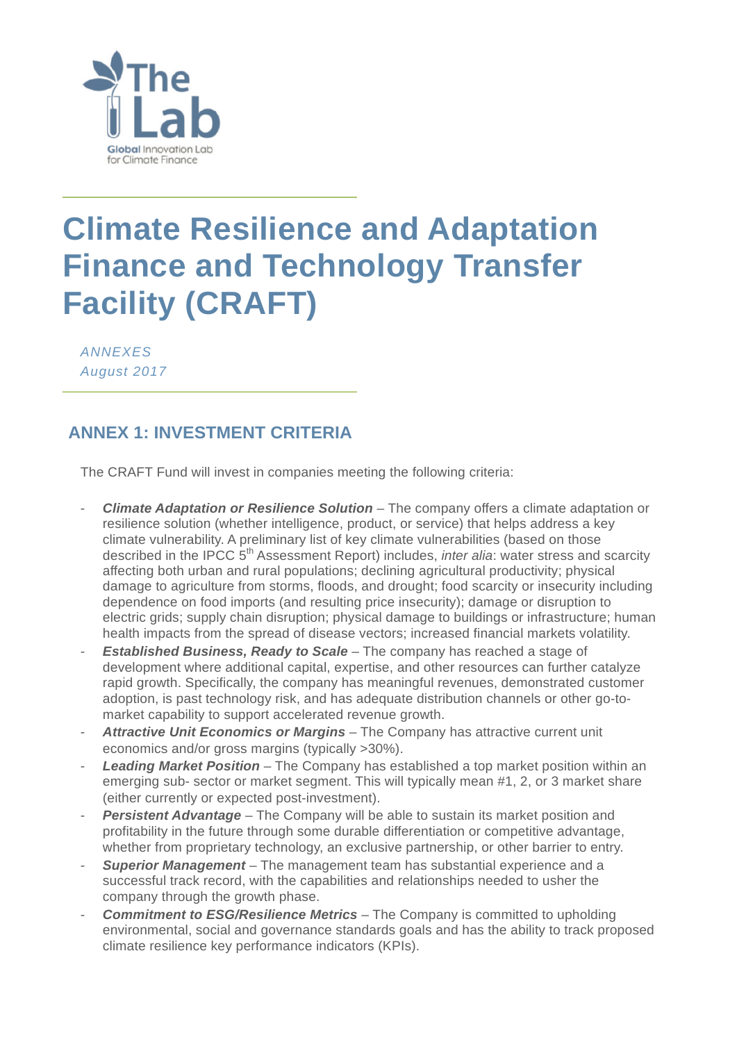

### **Climate Resilience and Adaptation Finance and Technology Transfer Facility (CRAFT)**

*ANNEXES August 2017*

#### **ANNEX 1: INVESTMENT CRITERIA**

The CRAFT Fund will invest in companies meeting the following criteria:

- *Climate Adaptation or Resilience Solution* The company offers a climate adaptation or resilience solution (whether intelligence, product, or service) that helps address a key climate vulnerability. A preliminary list of key climate vulnerabilities (based on those described in the IPCC 5th Assessment Report) includes, *inter alia*: water stress and scarcity affecting both urban and rural populations; declining agricultural productivity; physical damage to agriculture from storms, floods, and drought; food scarcity or insecurity including dependence on food imports (and resulting price insecurity); damage or disruption to electric grids; supply chain disruption; physical damage to buildings or infrastructure; human health impacts from the spread of disease vectors; increased financial markets volatility.
- **Established Business, Ready to Scale** The company has reached a stage of development where additional capital, expertise, and other resources can further catalyze rapid growth. Specifically, the company has meaningful revenues, demonstrated customer adoption, is past technology risk, and has adequate distribution channels or other go-tomarket capability to support accelerated revenue growth.
- *Attractive Unit Economics or Margins* The Company has attractive current unit economics and/or gross margins (typically >30%).
- **Leading Market Position** The Company has established a top market position within an emerging sub- sector or market segment. This will typically mean #1, 2, or 3 market share (either currently or expected post-investment).
- *Persistent Advantage* The Company will be able to sustain its market position and profitability in the future through some durable differentiation or competitive advantage, whether from proprietary technology, an exclusive partnership, or other barrier to entry.
- *Superior Management* The management team has substantial experience and a successful track record, with the capabilities and relationships needed to usher the company through the growth phase.
- **Commitment to ESG/Resilience Metrics** The Company is committed to upholding environmental, social and governance standards goals and has the ability to track proposed climate resilience key performance indicators (KPIs).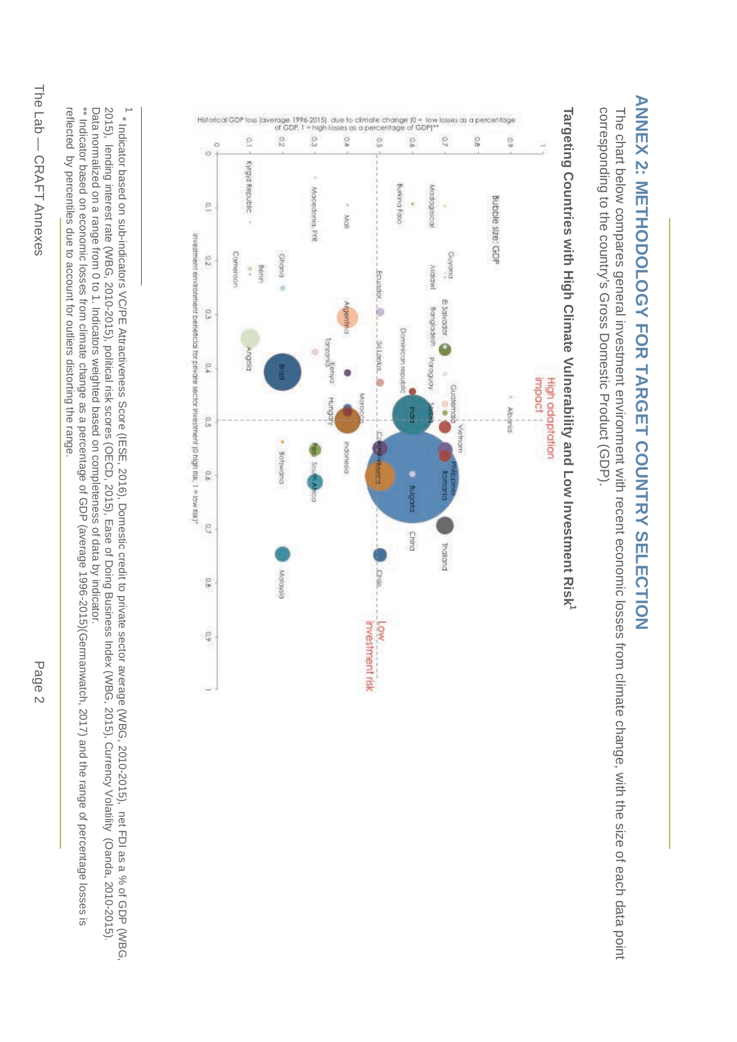# **ANNEX 2: METHODOLOGY FOR TARGET COUNTRY SELECTION ANNEX 2: METHODOLOGY FOR TARGET COUNTRY SELECTION**

corresponding to the country's Gross Domestic Product (GDP). corresponding to the country's Gross Domestic Product (GDP). The chart below compares general investment environment with recent economic losses from climate change, with the size of each data point The chart below compares general investment environment with recent economic losses from climate change, with the size of each data point



## **Targeting Countries with High Climate**  Targeting Countries with High Climate Vulnerability and Low Investment Risk<sup>1</sup> **Vulnerability and Low Investment Risk1**

2015), lending interest rate (WBG, 2010-2015), political risk scores (OECD, 2015), Ease of Doing Business Index (WBG, 2015), Currency Volatility (Oanda, 2010-2015) 1 \* Indicator based on sub-indicators VC/PE Attractiveness Score (IESE, 2016), Domestic credit to private sector average (WBG, 2010-2015), net FDI as a % of GDP (WBG, Data normalized on a range from 0 to 1. Indicators weighted based on completeness of data by indicator. Data normalized 2015), lending interest rate (WBG, 2010-2015), political risk scores (OECD, 2015), Ease of Doing Business Index (WBG, 2015), Currency Volatility (Oanda, 2010-2015). \* Indicator based on sub-indicators VC/PE Attractiveness Score (IESE, 2016), Domestic credit on a range from 0 to 1. Indicators weighted based on completeness of data by indicator. to private sector average (WBG, 2010-2015), net FDI as a % of GDP (WBG,

reflected by percentiles due to account for outliers distorting the range. \*\* Indicator bases from climate change of GDP (average as a percentage as a percentage of GDP (average 1996-2016) and the range of percentage no asses is reflected by percentiles due to account for outliers distorting the range.

 $\blacksquare$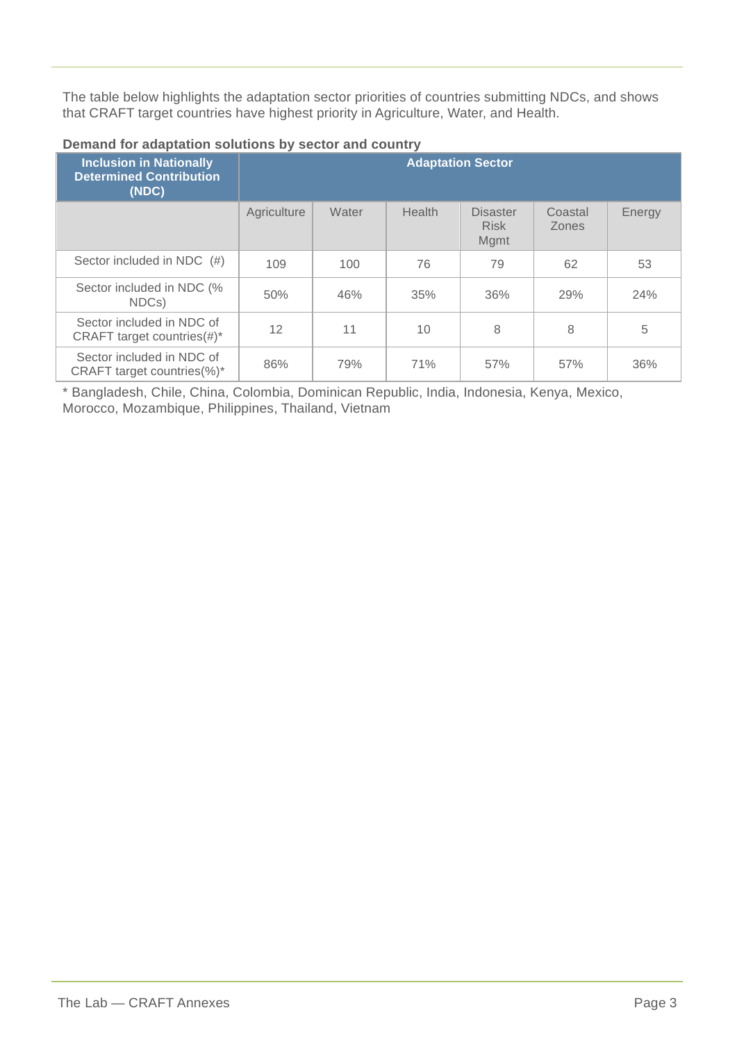The table below highlights the adaptation sector priorities of countries submitting NDCs, and shows that CRAFT target countries have highest priority in Agriculture, Water, and Health.

| <b>Inclusion in Nationally</b>                               | <b>Adaptation Sector</b> |       |               |                                        |                         |        |
|--------------------------------------------------------------|--------------------------|-------|---------------|----------------------------------------|-------------------------|--------|
| <b>Determined Contribution</b><br>(NDC)                      |                          |       |               |                                        |                         |        |
|                                                              | Agriculture              | Water | <b>Health</b> | <b>Disaster</b><br><b>Risk</b><br>Mgmt | Coastal<br><b>Zones</b> | Energy |
| Sector included in NDC (#)                                   | 109                      | 100   | 76            | 79                                     | 62                      | 53     |
| Sector included in NDC (%<br>NDCs)                           | 50%                      | 46%   | 35%           | 36%                                    | 29%                     | 24%    |
| Sector included in NDC of<br>CRAFT target countries $(\#)^*$ | 12                       | 11    | 10            | 8                                      | 8                       | 5      |
| Sector included in NDC of<br>CRAFT target countries(%)*      | 86%                      | 79%   | 71%           | 57%                                    | 57%                     | 36%    |

#### **Demand for adaptation solutions by sector and country**

\* Bangladesh, Chile, China, Colombia, Dominican Republic, India, Indonesia, Kenya, Mexico, Morocco, Mozambique, Philippines, Thailand, Vietnam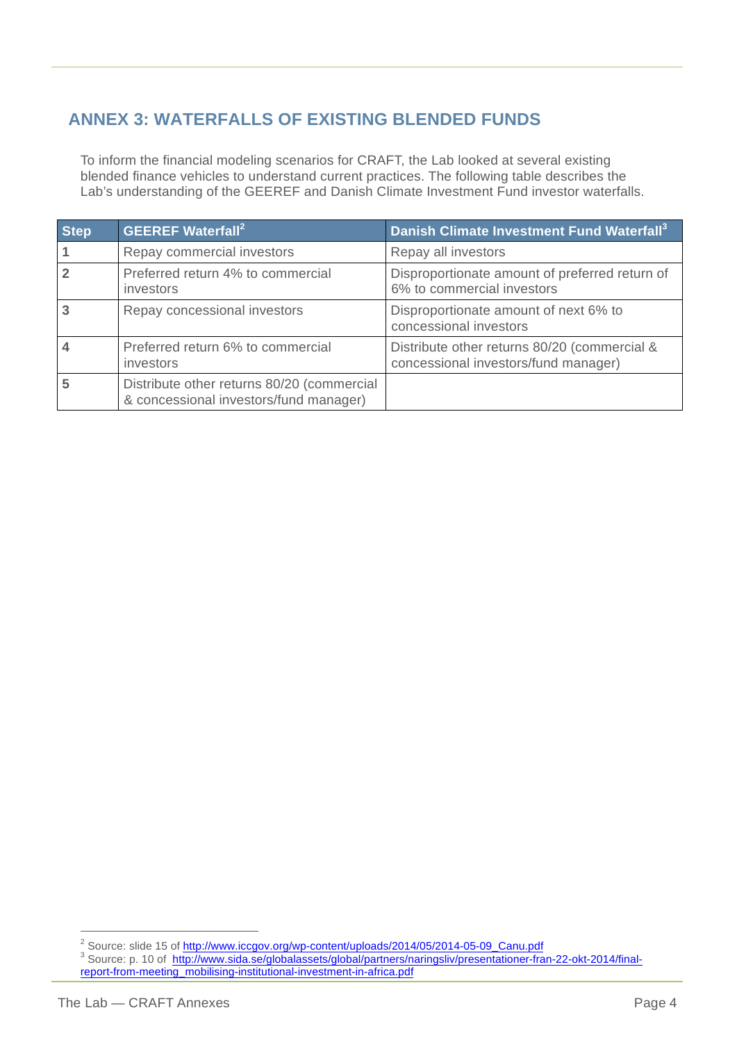#### **ANNEX 3: WATERFALLS OF EXISTING BLENDED FUNDS**

To inform the financial modeling scenarios for CRAFT, the Lab looked at several existing blended finance vehicles to understand current practices. The following table describes the Lab's understanding of the GEEREF and Danish Climate Investment Fund investor waterfalls.

| <b>Step</b> | <b>GEEREF</b> Waterfall <sup>2</sup>                                                 | Danish Climate Investment Fund Waterfall <sup>3</sup>                                |
|-------------|--------------------------------------------------------------------------------------|--------------------------------------------------------------------------------------|
|             | Repay commercial investors                                                           | Repay all investors                                                                  |
|             | Preferred return 4% to commercial<br>investors                                       | Disproportionate amount of preferred return of<br>6% to commercial investors         |
|             | Repay concessional investors                                                         | Disproportionate amount of next 6% to<br>concessional investors                      |
|             | Preferred return 6% to commercial<br>investors                                       | Distribute other returns 80/20 (commercial &<br>concessional investors/fund manager) |
|             | Distribute other returns 80/20 (commercial<br>& concessional investors/fund manager) |                                                                                      |

<sup>&</sup>lt;sup>2</sup> Source: slide 15 of <u>http://www.iccgov.org/wp-content/uploads/2014/05/2014-05-09\_Canu.pdf</u><br><sup>3</sup> Source: p. 10 of <u>http://www.sida.se/globalassets/global/partners/naringsliv/presentationer-fran-22-okt-2014/final-</u> report-from-meeting\_mobilising-institutional-investment-in-africa.pdf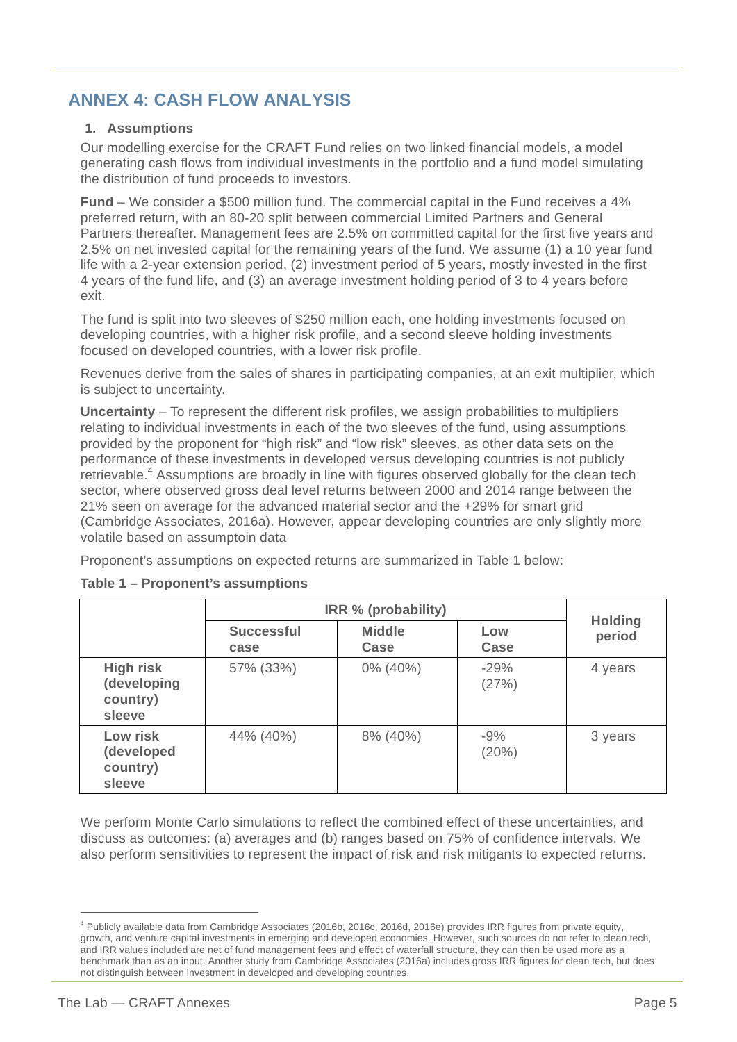#### **ANNEX 4: CASH FLOW ANALYSIS**

#### **1. Assumptions**

Our modelling exercise for the CRAFT Fund relies on two linked financial models, a model generating cash flows from individual investments in the portfolio and a fund model simulating the distribution of fund proceeds to investors.

**Fund** – We consider a \$500 million fund. The commercial capital in the Fund receives a 4% preferred return, with an 80-20 split between commercial Limited Partners and General Partners thereafter. Management fees are 2.5% on committed capital for the first five years and 2.5% on net invested capital for the remaining years of the fund. We assume (1) a 10 year fund life with a 2-year extension period, (2) investment period of 5 years, mostly invested in the first 4 years of the fund life, and (3) an average investment holding period of 3 to 4 years before exit.

The fund is split into two sleeves of \$250 million each, one holding investments focused on developing countries, with a higher risk profile, and a second sleeve holding investments focused on developed countries, with a lower risk profile.

Revenues derive from the sales of shares in participating companies, at an exit multiplier, which is subject to uncertainty.

**Uncertainty** – To represent the different risk profiles, we assign probabilities to multipliers relating to individual investments in each of the two sleeves of the fund, using assumptions provided by the proponent for "high risk" and "low risk" sleeves, as other data sets on the performance of these investments in developed versus developing countries is not publicly retrievable.<sup>4</sup> Assumptions are broadly in line with figures observed globally for the clean tech sector, where observed gross deal level returns between 2000 and 2014 range between the 21% seen on average for the advanced material sector and the +29% for smart grid (Cambridge Associates, 2016a). However, appear developing countries are only slightly more volatile based on assumptoin data

Proponent's assumptions on expected returns are summarized in Table 1 below:

|                                                       | IRR % (probability)       | <b>Holding</b>        |                 |         |
|-------------------------------------------------------|---------------------------|-----------------------|-----------------|---------|
|                                                       | <b>Successful</b><br>case | <b>Middle</b><br>Case | Low<br>Case     | period  |
| <b>High risk</b><br>(developing<br>country)<br>sleeve | 57% (33%)                 | 0% (40%)              | $-29%$<br>(27%) | 4 years |
| Low risk<br>(developed<br>country)<br>sleeve          | 44% (40%)                 | 8% (40%)              | $-9%$<br>(20%)  | 3 years |

#### **Table 1 – Proponent's assumptions**

We perform Monte Carlo simulations to reflect the combined effect of these uncertainties, and discuss as outcomes: (a) averages and (b) ranges based on 75% of confidence intervals. We also perform sensitivities to represent the impact of risk and risk mitigants to expected returns.

<sup>4</sup> Publicly available data from Cambridge Associates (2016b, 2016c, 2016d, 2016e) provides IRR figures from private equity, growth, and venture capital investments in emerging and developed economies. However, such sources do not refer to clean tech, and IRR values included are net of fund management fees and effect of waterfall structure, they can then be used more as a benchmark than as an input. Another study from Cambridge Associates (2016a) includes gross IRR figures for clean tech, but does not distinguish between investment in developed and developing countries.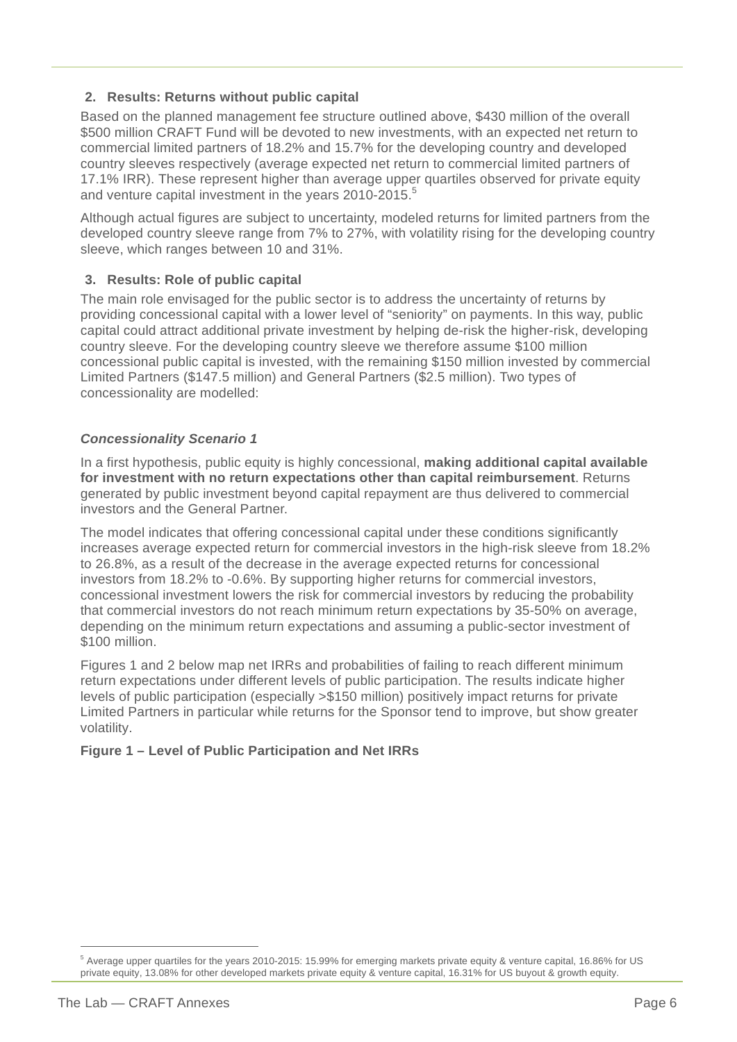#### **2. Results: Returns without public capital**

Based on the planned management fee structure outlined above, \$430 million of the overall \$500 million CRAFT Fund will be devoted to new investments, with an expected net return to commercial limited partners of 18.2% and 15.7% for the developing country and developed country sleeves respectively (average expected net return to commercial limited partners of 17.1% IRR). These represent higher than average upper quartiles observed for private equity and venture capital investment in the years 2010-2015.<sup>5</sup>

Although actual figures are subject to uncertainty, modeled returns for limited partners from the developed country sleeve range from 7% to 27%, with volatility rising for the developing country sleeve, which ranges between 10 and 31%.

#### **3. Results: Role of public capital**

The main role envisaged for the public sector is to address the uncertainty of returns by providing concessional capital with a lower level of "seniority" on payments. In this way, public capital could attract additional private investment by helping de-risk the higher-risk, developing country sleeve. For the developing country sleeve we therefore assume \$100 million concessional public capital is invested, with the remaining \$150 million invested by commercial Limited Partners (\$147.5 million) and General Partners (\$2.5 million). Two types of concessionality are modelled:

#### *Concessionality Scenario 1*

In a first hypothesis, public equity is highly concessional, **making additional capital available for investment with no return expectations other than capital reimbursement**. Returns generated by public investment beyond capital repayment are thus delivered to commercial investors and the General Partner.

The model indicates that offering concessional capital under these conditions significantly increases average expected return for commercial investors in the high-risk sleeve from 18.2% to 26.8%, as a result of the decrease in the average expected returns for concessional investors from 18.2% to -0.6%. By supporting higher returns for commercial investors, concessional investment lowers the risk for commercial investors by reducing the probability that commercial investors do not reach minimum return expectations by 35-50% on average, depending on the minimum return expectations and assuming a public-sector investment of \$100 million.

Figures 1 and 2 below map net IRRs and probabilities of failing to reach different minimum return expectations under different levels of public participation. The results indicate higher levels of public participation (especially >\$150 million) positively impact returns for private Limited Partners in particular while returns for the Sponsor tend to improve, but show greater volatility.

#### **Figure 1 – Level of Public Participation and Net IRRs**

<sup>5</sup> Average upper quartiles for the years 2010-2015: 15.99% for emerging markets private equity & venture capital, 16.86% for US private equity, 13.08% for other developed markets private equity & venture capital, 16.31% for US buyout & growth equity.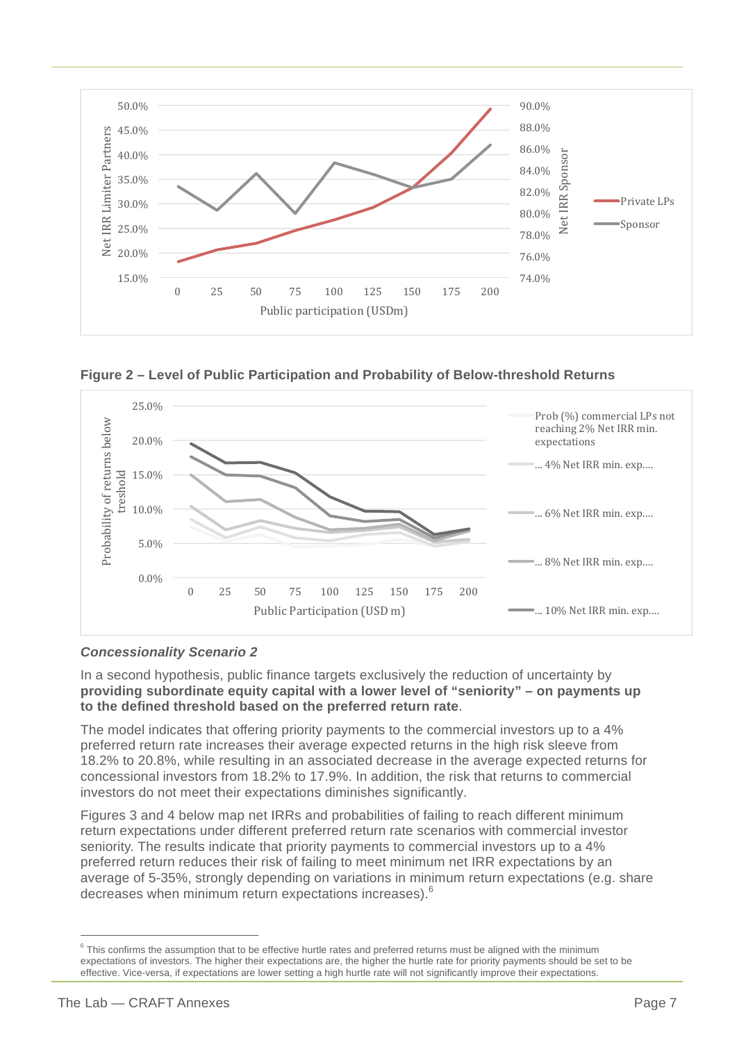

**Figure 2 – Level of Public Participation and Probability of Below-threshold Returns**



#### *Concessionality Scenario 2*

In a second hypothesis, public finance targets exclusively the reduction of uncertainty by **providing subordinate equity capital with a lower level of "seniority" – on payments up to the defined threshold based on the preferred return rate**.

The model indicates that offering priority payments to the commercial investors up to a 4% preferred return rate increases their average expected returns in the high risk sleeve from 18.2% to 20.8%, while resulting in an associated decrease in the average expected returns for concessional investors from 18.2% to 17.9%. In addition, the risk that returns to commercial investors do not meet their expectations diminishes significantly.

Figures 3 and 4 below map net IRRs and probabilities of failing to reach different minimum return expectations under different preferred return rate scenarios with commercial investor seniority. The results indicate that priority payments to commercial investors up to a 4% preferred return reduces their risk of failing to meet minimum net IRR expectations by an average of 5-35%, strongly depending on variations in minimum return expectations (e.g. share decreases when minimum return expectations increases). 6

 $6$  This confirms the assumption that to be effective hurtle rates and preferred returns must be aligned with the minimum expectations of investors. The higher their expectations are, the higher the hurtle rate for priority payments should be set to be effective. Vice-versa, if expectations are lower setting a high hurtle rate will not significantly improve their expectations.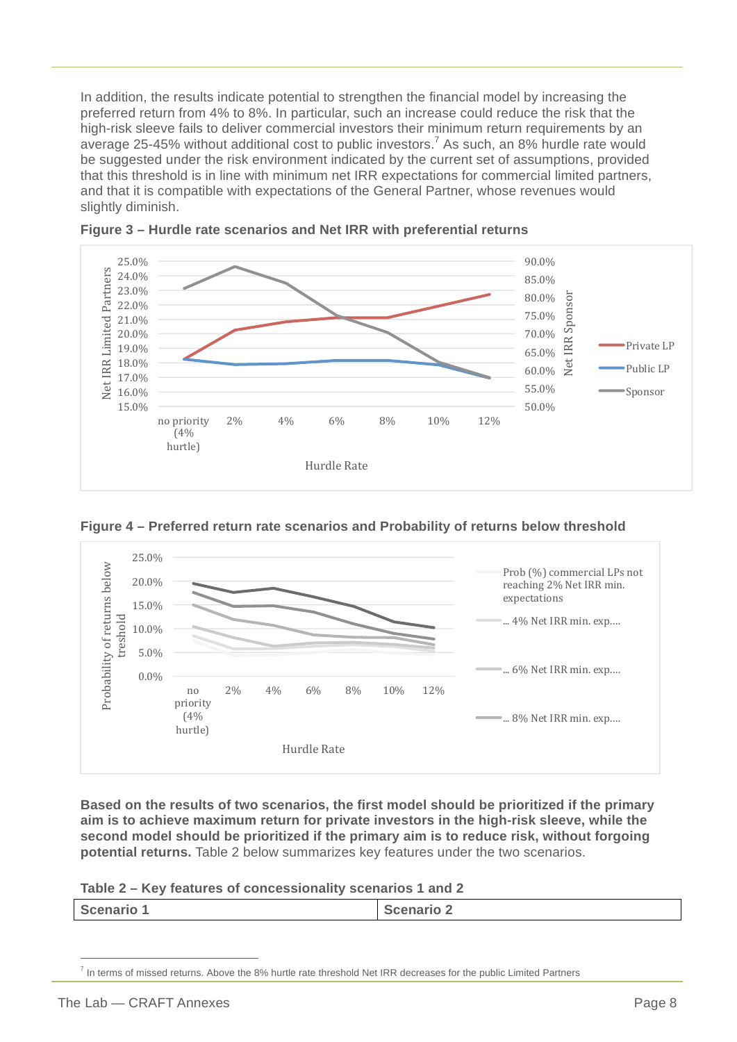In addition, the results indicate potential to strengthen the financial model by increasing the preferred return from 4% to 8%. In particular, such an increase could reduce the risk that the high-risk sleeve fails to deliver commercial investors their minimum return requirements by an average 25-45% without additional cost to public investors.<sup>7</sup> As such, an 8% hurdle rate would be suggested under the risk environment indicated by the current set of assumptions, provided that this threshold is in line with minimum net IRR expectations for commercial limited partners, and that it is compatible with expectations of the General Partner, whose revenues would slightly diminish.





**Figure 4 – Preferred return rate scenarios and Probability of returns below threshold**



**Based on the results of two scenarios, the first model should be prioritized if the primary aim is to achieve maximum return for private investors in the high-risk sleeve, while the second model should be prioritized if the primary aim is to reduce risk, without forgoing potential returns.** Table 2 below summarizes key features under the two scenarios.

**Table 2 – Key features of concessionality scenarios 1 and 2**

|--|

In terms of missed returns. Above the 8% hurtle rate threshold Net IRR decreases for the public Limited Partners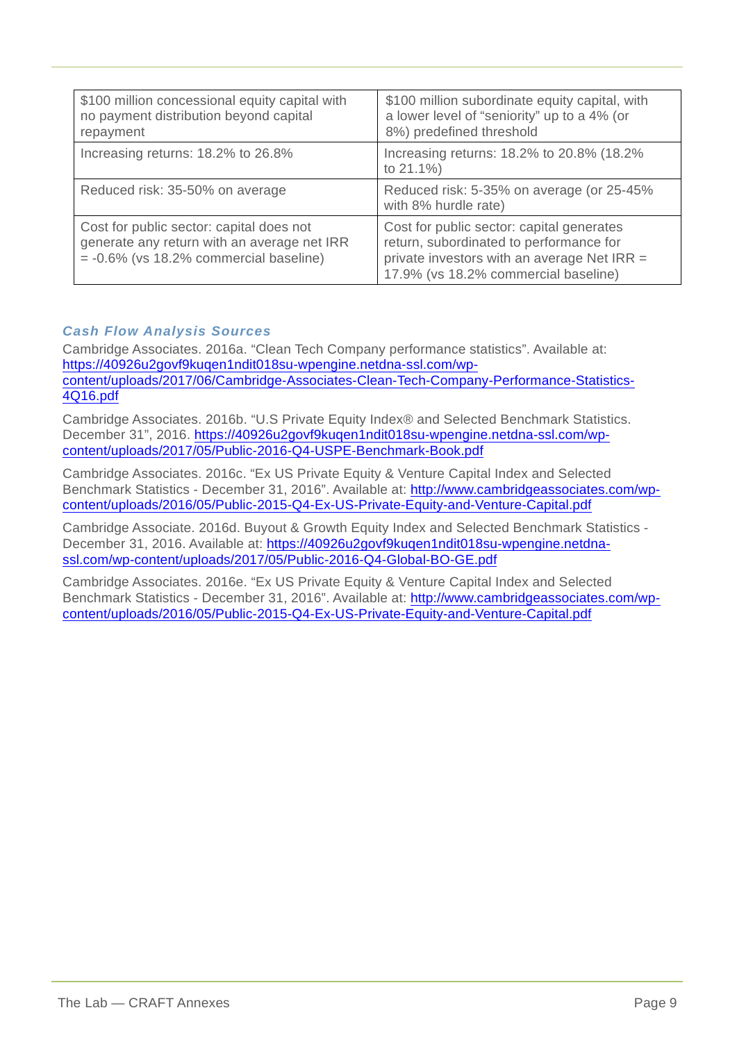| \$100 million concessional equity capital with<br>no payment distribution beyond capital<br>repayment                                | \$100 million subordinate equity capital, with<br>a lower level of "seniority" up to a 4% (or<br>8%) predefined threshold                                                   |
|--------------------------------------------------------------------------------------------------------------------------------------|-----------------------------------------------------------------------------------------------------------------------------------------------------------------------------|
| Increasing returns: 18.2% to 26.8%                                                                                                   | Increasing returns: 18.2% to 20.8% (18.2%)<br>to 21.1%)                                                                                                                     |
| Reduced risk: 35-50% on average                                                                                                      | Reduced risk: 5-35% on average (or 25-45%<br>with 8% hurdle rate)                                                                                                           |
| Cost for public sector: capital does not<br>generate any return with an average net IRR<br>$= -0.6\%$ (vs 18.2% commercial baseline) | Cost for public sector: capital generates<br>return, subordinated to performance for<br>private investors with an average Net IRR =<br>17.9% (vs 18.2% commercial baseline) |

#### *Cash Flow Analysis Sources*

Cambridge Associates. 2016a. "Clean Tech Company performance statistics". Available at: https://40926u2govf9kuqen1ndit018su-wpengine.netdna-ssl.com/wpcontent/uploads/2017/06/Cambridge-Associates-Clean-Tech-Company-Performance-Statistics-4Q16.pdf

Cambridge Associates. 2016b. "U.S Private Equity Index® and Selected Benchmark Statistics. December 31", 2016. https://40926u2govf9kuqen1ndit018su-wpengine.netdna-ssl.com/wpcontent/uploads/2017/05/Public-2016-Q4-USPE-Benchmark-Book.pdf

Cambridge Associates. 2016c. "Ex US Private Equity & Venture Capital Index and Selected Benchmark Statistics - December 31, 2016". Available at: http://www.cambridgeassociates.com/wpcontent/uploads/2016/05/Public-2015-Q4-Ex-US-Private-Equity-and-Venture-Capital.pdf

Cambridge Associate. 2016d. Buyout & Growth Equity Index and Selected Benchmark Statistics - December 31, 2016. Available at: https://40926u2govf9kuqen1ndit018su-wpengine.netdnassl.com/wp-content/uploads/2017/05/Public-2016-Q4-Global-BO-GE.pdf

Cambridge Associates. 2016e. "Ex US Private Equity & Venture Capital Index and Selected Benchmark Statistics - December 31, 2016". Available at: http://www.cambridgeassociates.com/wpcontent/uploads/2016/05/Public-2015-Q4-Ex-US-Private-Equity-and-Venture-Capital.pdf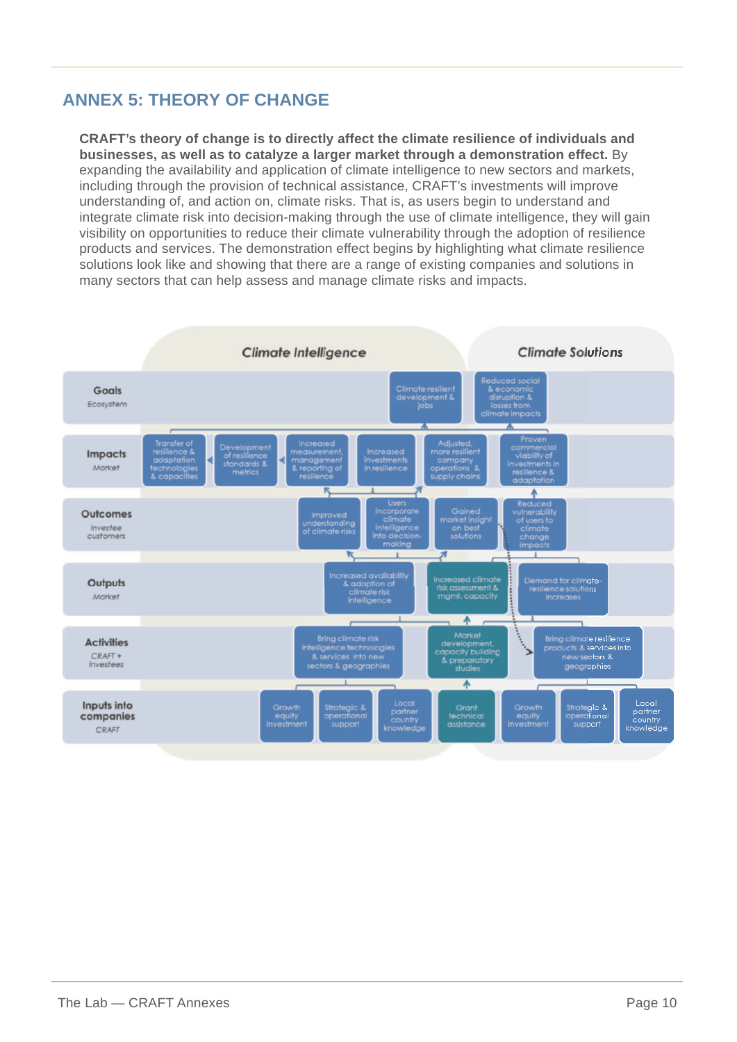#### **ANNEX 5: THEORY OF CHANGE**

**CRAFT's theory of change is to directly affect the climate resilience of individuals and businesses, as well as to catalyze a larger market through a demonstration effect.** By expanding the availability and application of climate intelligence to new sectors and markets, including through the provision of technical assistance, CRAFT's investments will improve understanding of, and action on, climate risks. That is, as users begin to understand and integrate climate risk into decision-making through the use of climate intelligence, they will gain visibility on opportunities to reduce their climate vulnerability through the adoption of resilience products and services. The demonstration effect begins by highlighting what climate resilience solutions look like and showing that there are a range of existing companies and solutions in many sectors that can help assess and manage climate risks and impacts.

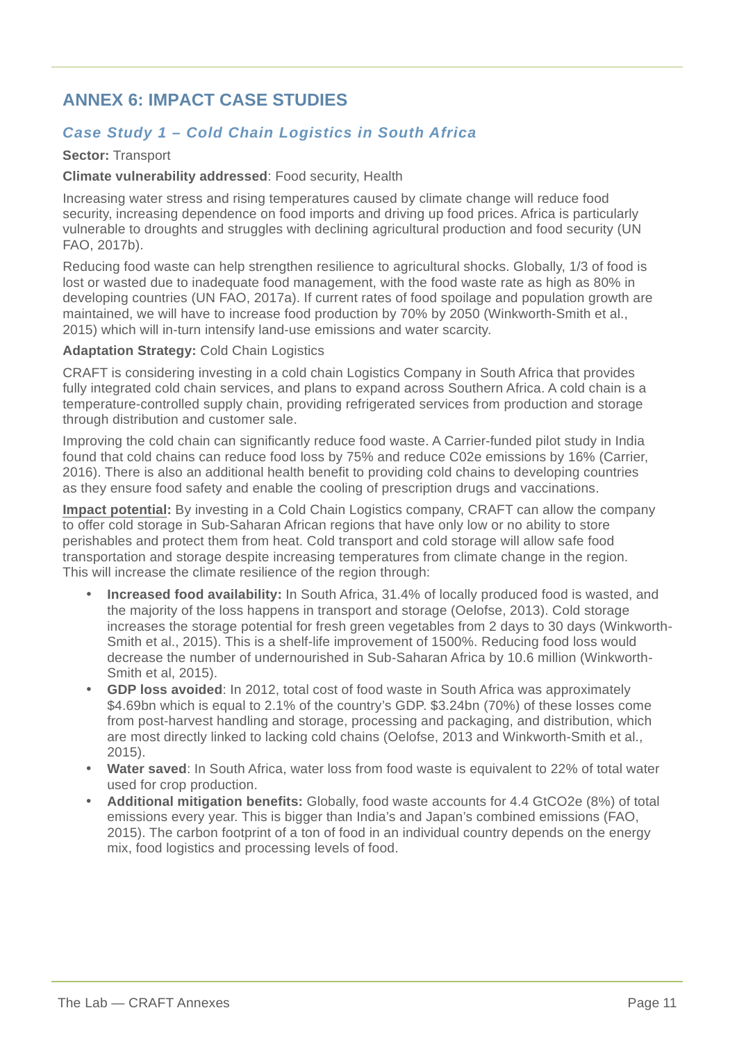#### **ANNEX 6: IMPACT CASE STUDIES**

#### *Case Study 1 – Cold Chain Logistics in South Africa*

#### **Sector:** Transport

#### **Climate vulnerability addressed**: Food security, Health

Increasing water stress and rising temperatures caused by climate change will reduce food security, increasing dependence on food imports and driving up food prices. Africa is particularly vulnerable to droughts and struggles with declining agricultural production and food security (UN FAO, 2017b).

Reducing food waste can help strengthen resilience to agricultural shocks. Globally, 1/3 of food is lost or wasted due to inadequate food management, with the food waste rate as high as 80% in developing countries (UN FAO, 2017a). If current rates of food spoilage and population growth are maintained, we will have to increase food production by 70% by 2050 (Winkworth-Smith et al., 2015) which will in-turn intensify land-use emissions and water scarcity.

#### **Adaptation Strategy:** Cold Chain Logistics

CRAFT is considering investing in a cold chain Logistics Company in South Africa that provides fully integrated cold chain services, and plans to expand across Southern Africa. A cold chain is a temperature-controlled supply chain, providing refrigerated services from production and storage through distribution and customer sale.

Improving the cold chain can significantly reduce food waste. A Carrier-funded pilot study in India found that cold chains can reduce food loss by 75% and reduce C02e emissions by 16% (Carrier, 2016). There is also an additional health benefit to providing cold chains to developing countries as they ensure food safety and enable the cooling of prescription drugs and vaccinations.

**Impact potential:** By investing in a Cold Chain Logistics company, CRAFT can allow the company to offer cold storage in Sub-Saharan African regions that have only low or no ability to store perishables and protect them from heat. Cold transport and cold storage will allow safe food transportation and storage despite increasing temperatures from climate change in the region. This will increase the climate resilience of the region through:

- **Increased food availability:** In South Africa, 31.4% of locally produced food is wasted, and the majority of the loss happens in transport and storage (Oelofse, 2013). Cold storage increases the storage potential for fresh green vegetables from 2 days to 30 days (Winkworth-Smith et al., 2015). This is a shelf-life improvement of 1500%. Reducing food loss would decrease the number of undernourished in Sub-Saharan Africa by 10.6 million (Winkworth-Smith et al, 2015).
- **GDP loss avoided**: In 2012, total cost of food waste in South Africa was approximately \$4.69bn which is equal to 2.1% of the country's GDP. \$3.24bn (70%) of these losses come from post-harvest handling and storage, processing and packaging, and distribution, which are most directly linked to lacking cold chains (Oelofse, 2013 and Winkworth-Smith et al., 2015).
- **Water saved**: In South Africa, water loss from food waste is equivalent to 22% of total water used for crop production.
- **Additional mitigation benefits:** Globally, food waste accounts for 4.4 GtCO2e (8%) of total emissions every year. This is bigger than India's and Japan's combined emissions (FAO, 2015). The carbon footprint of a ton of food in an individual country depends on the energy mix, food logistics and processing levels of food.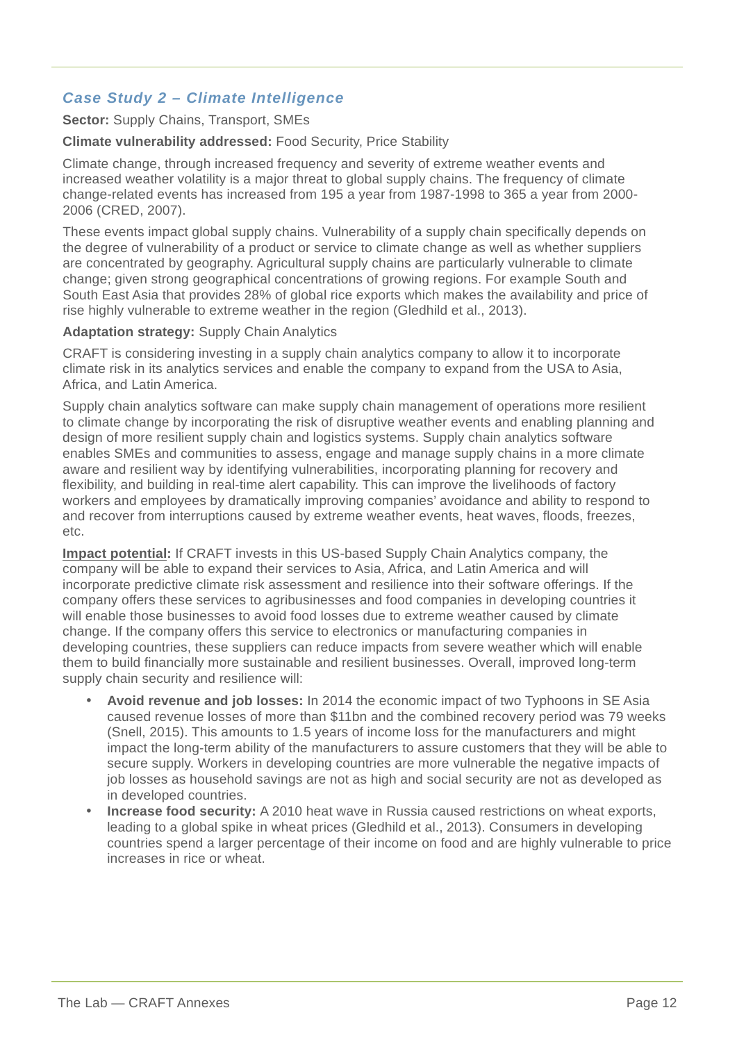#### *Case Study 2 – Climate Intelligence*

#### **Sector:** Supply Chains, Transport, SMEs

#### **Climate vulnerability addressed:** Food Security, Price Stability

Climate change, through increased frequency and severity of extreme weather events and increased weather volatility is a major threat to global supply chains. The frequency of climate change-related events has increased from 195 a year from 1987-1998 to 365 a year from 2000- 2006 (CRED, 2007).

These events impact global supply chains. Vulnerability of a supply chain specifically depends on the degree of vulnerability of a product or service to climate change as well as whether suppliers are concentrated by geography. Agricultural supply chains are particularly vulnerable to climate change; given strong geographical concentrations of growing regions. For example South and South East Asia that provides 28% of global rice exports which makes the availability and price of rise highly vulnerable to extreme weather in the region (Gledhild et al., 2013).

#### **Adaptation strategy:** Supply Chain Analytics

CRAFT is considering investing in a supply chain analytics company to allow it to incorporate climate risk in its analytics services and enable the company to expand from the USA to Asia, Africa, and Latin America.

Supply chain analytics software can make supply chain management of operations more resilient to climate change by incorporating the risk of disruptive weather events and enabling planning and design of more resilient supply chain and logistics systems. Supply chain analytics software enables SMEs and communities to assess, engage and manage supply chains in a more climate aware and resilient way by identifying vulnerabilities, incorporating planning for recovery and flexibility, and building in real-time alert capability. This can improve the livelihoods of factory workers and employees by dramatically improving companies' avoidance and ability to respond to and recover from interruptions caused by extreme weather events, heat waves, floods, freezes, etc.

**Impact potential:** If CRAFT invests in this US-based Supply Chain Analytics company, the company will be able to expand their services to Asia, Africa, and Latin America and will incorporate predictive climate risk assessment and resilience into their software offerings. If the company offers these services to agribusinesses and food companies in developing countries it will enable those businesses to avoid food losses due to extreme weather caused by climate change. If the company offers this service to electronics or manufacturing companies in developing countries, these suppliers can reduce impacts from severe weather which will enable them to build financially more sustainable and resilient businesses. Overall, improved long-term supply chain security and resilience will:

- **Avoid revenue and job losses:** In 2014 the economic impact of two Typhoons in SE Asia caused revenue losses of more than \$11bn and the combined recovery period was 79 weeks (Snell, 2015). This amounts to 1.5 years of income loss for the manufacturers and might impact the long-term ability of the manufacturers to assure customers that they will be able to secure supply. Workers in developing countries are more vulnerable the negative impacts of job losses as household savings are not as high and social security are not as developed as in developed countries.
- **Increase food security:** A 2010 heat wave in Russia caused restrictions on wheat exports, leading to a global spike in wheat prices (Gledhild et al., 2013). Consumers in developing countries spend a larger percentage of their income on food and are highly vulnerable to price increases in rice or wheat.